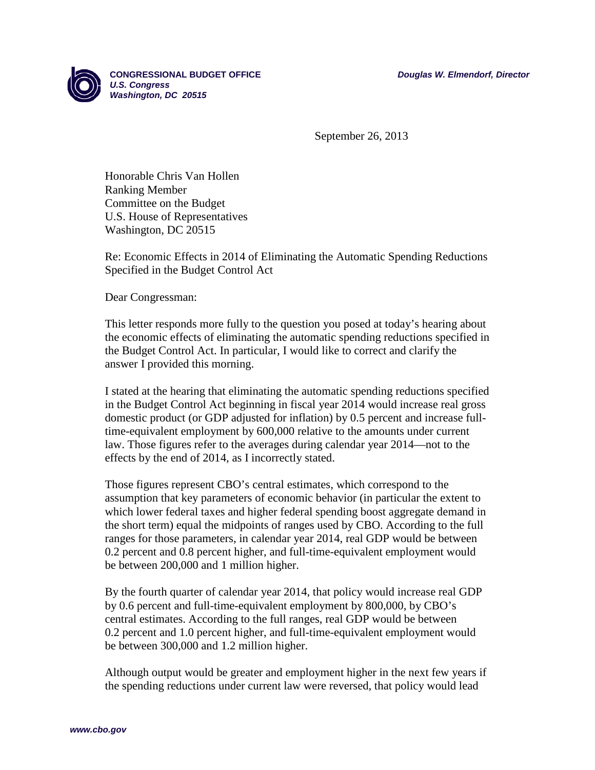

**CONGRESSIONAL BUDGET OFFICE** *Douglas W. Elmendorf, Director U.S. Congress Washington, DC 20515*

September 26, 2013

Honorable Chris Van Hollen Ranking Member Committee on the Budget U.S. House of Representatives Washington, DC 20515

Re: Economic Effects in 2014 of Eliminating the Automatic Spending Reductions Specified in the Budget Control Act

Dear Congressman:

This letter responds more fully to the question you posed at today's hearing about the economic effects of eliminating the automatic spending reductions specified in the Budget Control Act. In particular, I would like to correct and clarify the answer I provided this morning.

I stated at the hearing that eliminating the automatic spending reductions specified in the Budget Control Act beginning in fiscal year 2014 would increase real gross domestic product (or GDP adjusted for inflation) by 0.5 percent and increase fulltime-equivalent employment by 600,000 relative to the amounts under current law. Those figures refer to the averages during calendar year 2014—not to the effects by the end of 2014, as I incorrectly stated.

Those figures represent CBO's central estimates, which correspond to the assumption that key parameters of economic behavior (in particular the extent to which lower federal taxes and higher federal spending boost aggregate demand in the short term) equal the midpoints of ranges used by CBO. According to the full ranges for those parameters, in calendar year 2014, real GDP would be between 0.2 percent and 0.8 percent higher, and full-time-equivalent employment would be between 200,000 and 1 million higher.

By the fourth quarter of calendar year 2014, that policy would increase real GDP by 0.6 percent and full-time-equivalent employment by 800,000, by CBO's central estimates. According to the full ranges, real GDP would be between 0.2 percent and 1.0 percent higher, and full-time-equivalent employment would be between 300,000 and 1.2 million higher.

Although output would be greater and employment higher in the next few years if the spending reductions under current law were reversed, that policy would lead